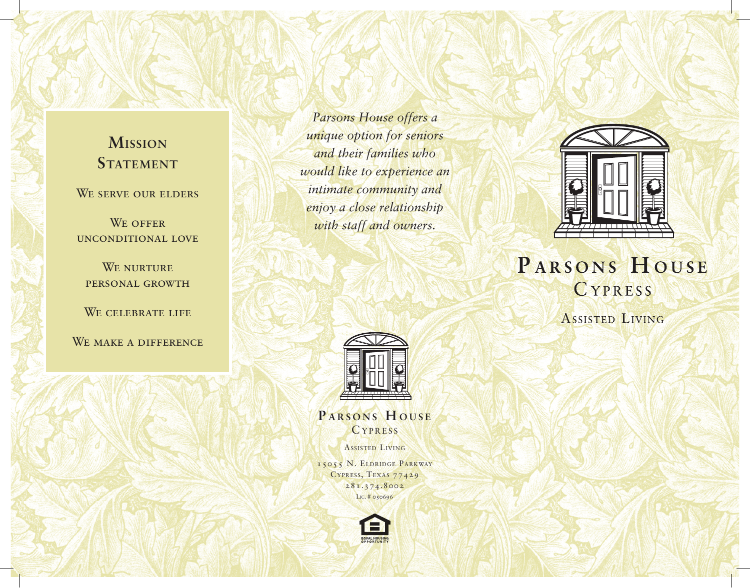## **Mission STATEMENT**

WE SERVE OUR ELDERS

WE OFFER unconditional love

WE NURTURE personal growth

WE CELEBRATE LIFE

WE MAKE A DIFFERENCE

*Parsons House offers a unique option for seniors and their families who would like to experience an intimate community and enjoy a close relationship with staff and owners.*



**P ARSONS H OUSE CYPRESS** 

ASSISTED LIVING

15055 N. ELDRIDGE PARKWAY CYPRESS, TEXAS 77429 281.374.8002 LIC. # 050696





# PARSONS HOUSE CYPRESS

ASSISTED LIVING